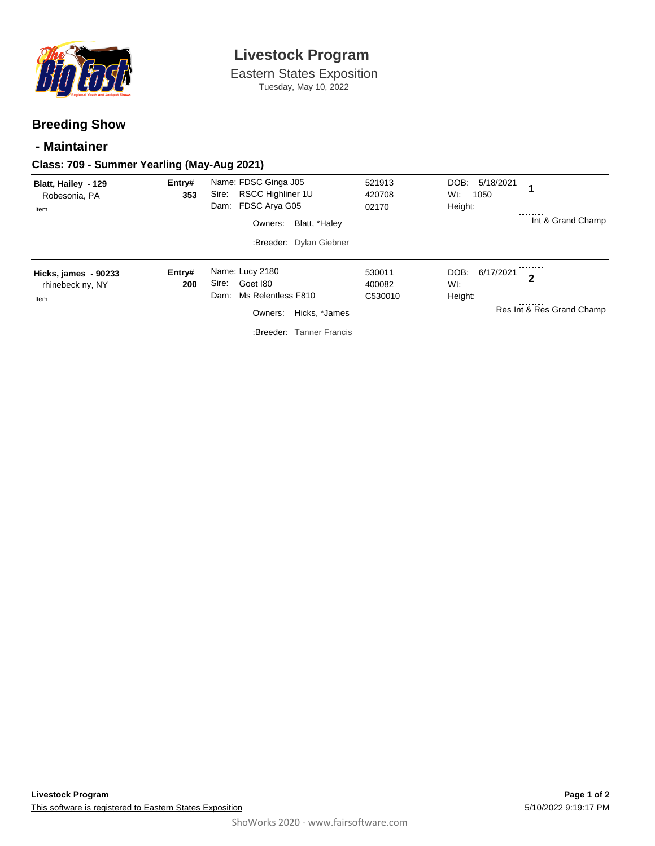

# **Livestock Program**

Eastern States Exposition Tuesday, May 10, 2022

## **Breeding Show**

## **- Maintainer**

#### **Class: 709 - Summer Yearling (May-Aug 2021)**

| Blatt, Hailey - 129<br>Robesonia, PA<br>Item            | Entry#<br>353 | Name: FDSC Ginga J05<br>RSCC Highliner 1U<br>Sire:<br>FDSC Arya G05<br>Dam:<br>Blatt, *Haley<br>Owners:<br>:Breeder: Dylan Giebner | 521913<br>420708<br>02170   | 5/18/2021<br>DOB:<br>Wt:<br>1050<br>Height:<br>Int & Grand Champ                   |
|---------------------------------------------------------|---------------|------------------------------------------------------------------------------------------------------------------------------------|-----------------------------|------------------------------------------------------------------------------------|
| <b>Hicks, james - 90233</b><br>rhinebeck ny, NY<br>Item | Entry#<br>200 | Name: Lucy 2180<br>Goet 180<br>Sire:<br>Ms Relentless F810<br>Dam:<br>Owners:<br>Hicks, *James<br>:Breeder: Tanner Francis         | 530011<br>400082<br>C530010 | 6/17/2021<br>DOB:<br>$\overline{2}$<br>Wt:<br>Height:<br>Res Int & Res Grand Champ |